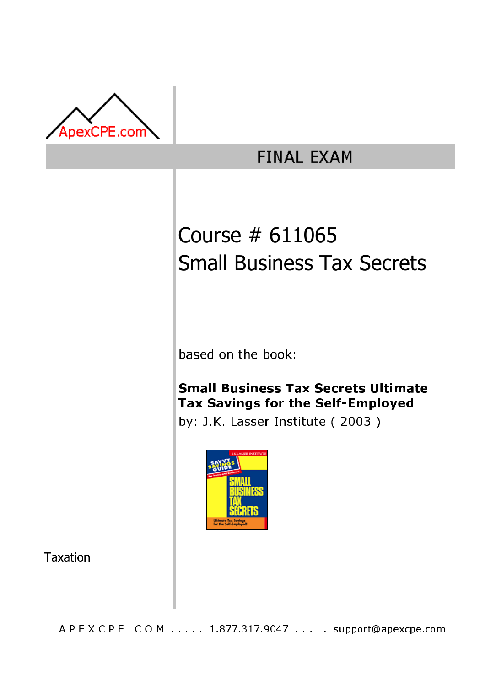

## **FINAL EXAM**

# Course # 611065 Small Business Tax Secrets

based on the book:

### **Small Business Tax Secrets Ultimate** Tax Savings for the Self-Emploved

by: J.K. Lasser Institute (2003)



**Taxation** 

A P E X C P E . C O M . . . . . 1.877.317.9047 . . . . . support@apexcpe.com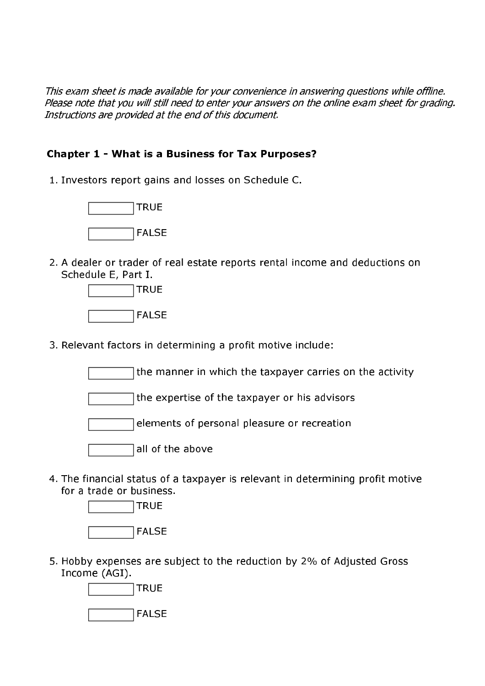This exam sheet is made available for your convenience in answering questions while offline. Please note that you will still need to enter your answers on the online exam sheet for grading. Instructions are provided at the end of this document.

#### **Chapter 1 - What is a Business for Tax Purposes?**

1. Investors report gains and losses on Schedule C.



2. A dealer or trader of real estate reports rental income and deductions on Schedule E, Part I.



3. Relevant factors in determining a profit motive include:

the manner in which the taxpayer carries on the activity

the expertise of the taxpayer or his advisors

elements of personal pleasure or recreation

all of the above

4. The financial status of a taxpayer is relevant in determining profit motive for a trade or business.



5. Hobby expenses are subject to the reduction by 2% of Adjusted Gross Income (AGI).

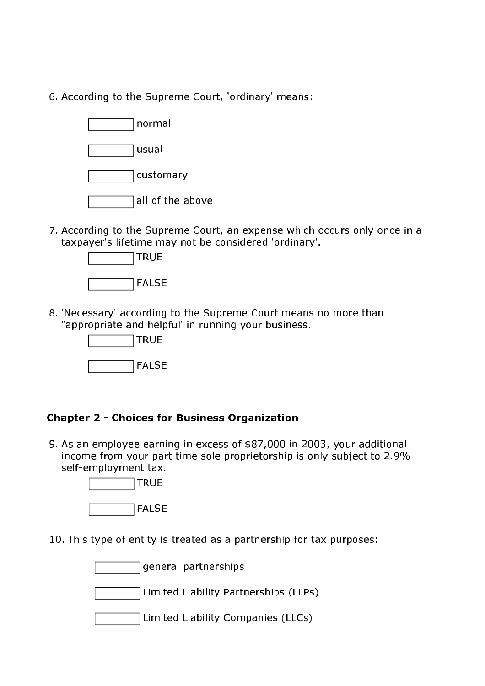6. According to the Supreme Court, 'ordinary' means:



7. According to the Supreme Court, an expense which occurs only once in a taxpayer's lifetime may not be considered 'ordinary'.



8. 'Necessary' according to the Supreme Court means no more than "appropriate and helpful' in running your business.



#### **Chapter 2 - Choices for Business Organization**

9. As an employee earning in excess of \$87,000 in 2003, your additional income from your part time sole proprietorship is only subject to 2.9% self-employment tax.



10. This type of entity is treated as a partnership for tax purposes:

general partnerships

Limited Liability Partnerships (LLPs)

| Limited Liability Companies (LLCs) |  |
|------------------------------------|--|
|------------------------------------|--|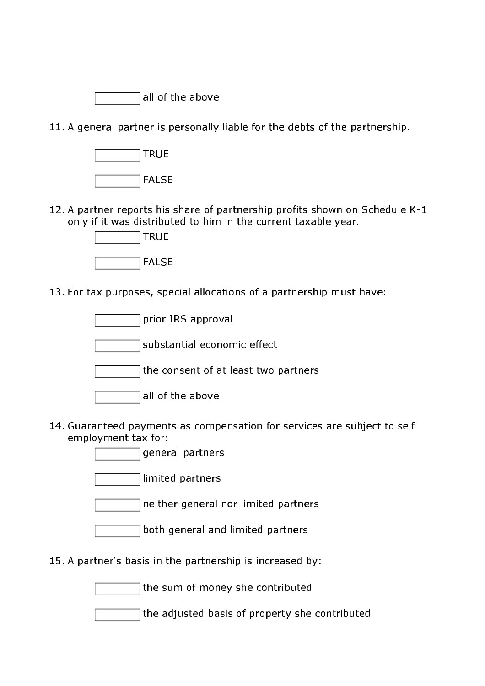|  |  | all of the above |
|--|--|------------------|
|  |  |                  |

11. A general partner is personally liable for the debts of the partnership.



12. A partner reports his share of partnership profits shown on Schedule K-1 only if it was distributed to him in the current taxable year.



13. For tax purposes, special allocations of a partnership must have:

prior IRS approval

substantial economic effect

the consent of at least two partners

- 14. Guaranteed payments as compensation for services are subject to self employment tax for:
	- general partners

limited partners

neither general nor limited partners

15. A partner's basis in the partnership is increased by:

the sum of money she contributed

the adjusted basis of property she contributed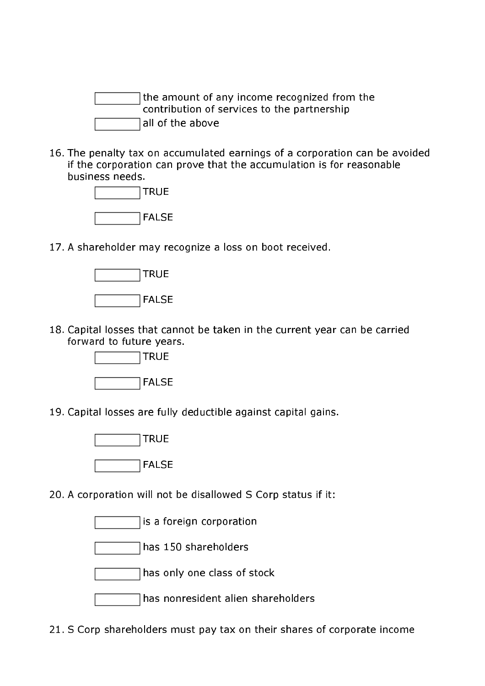the amount of any income recognized from the contribution of services to the partnership all of the above

16. The penalty tax on accumulated earnings of a corporation can be avoided if the corporation can prove that the accumulation is for reasonable business needs



17. A shareholder may recognize a loss on boot received.



18. Capital losses that cannot be taken in the current year can be carried forward to future years.



19. Capital losses are fully deductible against capital gains.



20. A corporation will not be disallowed S Corp status if it:

is a foreign corporation

has 150 shareholders

has only one class of stock

has nonresident alien shareholders

21. S Corp shareholders must pay tax on their shares of corporate income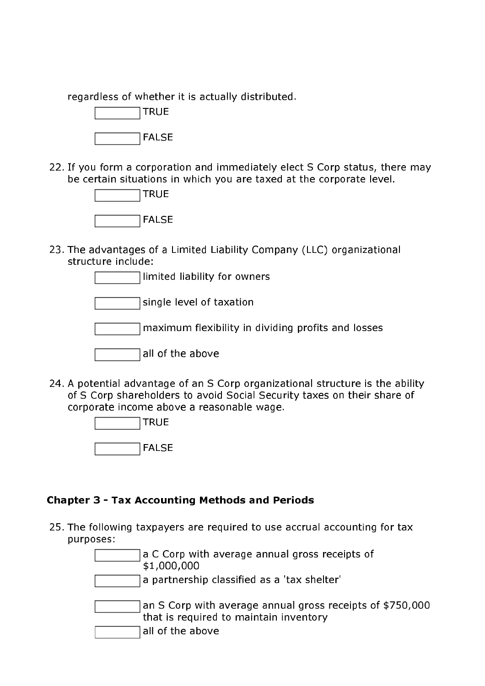regardless of whether it is actually distributed.

| <b>TRUE</b>  |
|--------------|
| <b>FALSE</b> |

22. If you form a corporation and immediately elect S Corp status, there may be certain situations in which you are taxed at the corporate level.



23. The advantages of a Limited Liability Company (LLC) organizational structure include:

limited liability for owners

single level of taxation

maximum flexibility in dividing profits and losses

all of the above

24. A potential advantage of an S Corp organizational structure is the ability of S Corp shareholders to avoid Social Security taxes on their share of corporate income above a reasonable wage.

| <b>TRUE</b>  |
|--------------|
| <b>FALSE</b> |

#### **Chapter 3 - Tax Accounting Methods and Periods**

25. The following taxpayers are required to use accrual accounting for tax purposes:

> a C Corp with average annual gross receipts of \$1,000,000 a partnership classified as a 'tax shelter' an S Corp with average annual gross receipts of \$750,000 that is required to maintain inventory all of the above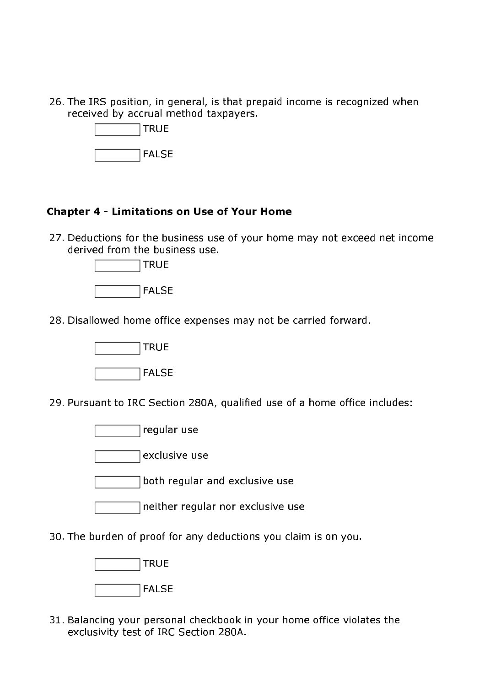26. The IRS position, in general, is that prepaid income is recognized when received by accrual method taxpayers.



#### **Chapter 4 - Limitations on Use of Your Home**

27. Deductions for the business use of your home may not exceed net income derived from the business use.



28. Disallowed home office expenses may not be carried forward.



29. Pursuant to IRC Section 280A, qualified use of a home office includes:

regular use

exclusive use

both regular and exclusive use

neither regular nor exclusive use

30. The burden of proof for any deductions you claim is on you.



31. Balancing your personal checkbook in your home office violates the exclusivity test of IRC Section 280A.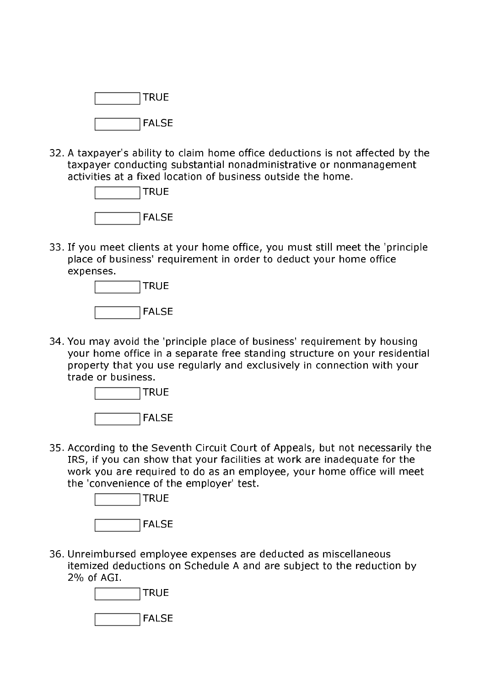

32. A taxpayer's ability to claim home office deductions is not affected by the taxpayer conducting substantial nonadministrative or nonmanagement activities at a fixed location of business outside the home.



33. If you meet clients at your home office, you must still meet the 'principle place of business' requirement in order to deduct your home office expenses.



34. You may avoid the 'principle place of business' requirement by housing your home office in a separate free standing structure on your residential property that you use regularly and exclusively in connection with your trade or business.



35. According to the Seventh Circuit Court of Appeals, but not necessarily the IRS, if you can show that your facilities at work are inadequate for the work you are required to do as an employee, your home office will meet the 'convenience of the employer' test.



36. Unreimbursed employee expenses are deducted as miscellaneous itemized deductions on Schedule A and are subject to the reduction by 2% of AGI.

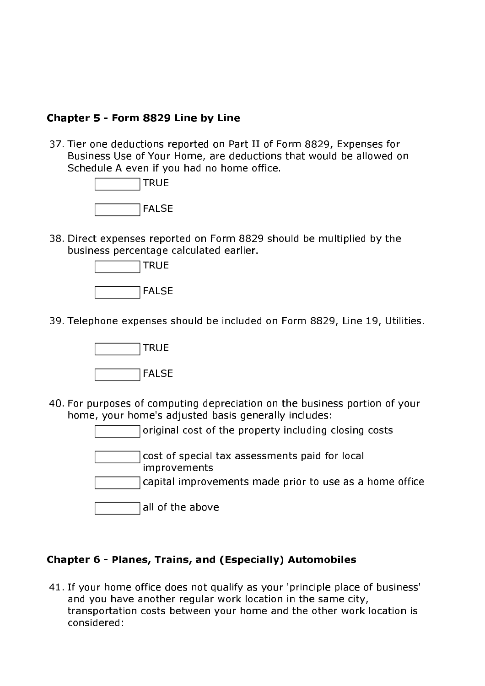#### Chapter 5 - Form 8829 Line by Line

37. Tier one deductions reported on Part II of Form 8829, Expenses for Business Use of Your Home, are deductions that would be allowed on Schedule A even if you had no home office.



38. Direct expenses reported on Form 8829 should be multiplied by the business percentage calculated earlier.



39. Telephone expenses should be included on Form 8829, Line 19, Utilities.



40. For purposes of computing depreciation on the business portion of your home, your home's adiusted basis generally includes:

original cost of the property including closing costs

cost of special tax assessments paid for local improvements

capital improvements made prior to use as a home office

#### Chapter 6 - Planes, Trains, and (Especially) Automobiles

41. If your home office does not qualify as your 'principle place of business' and you have another regular work location in the same city, transportation costs between your home and the other work location is considered: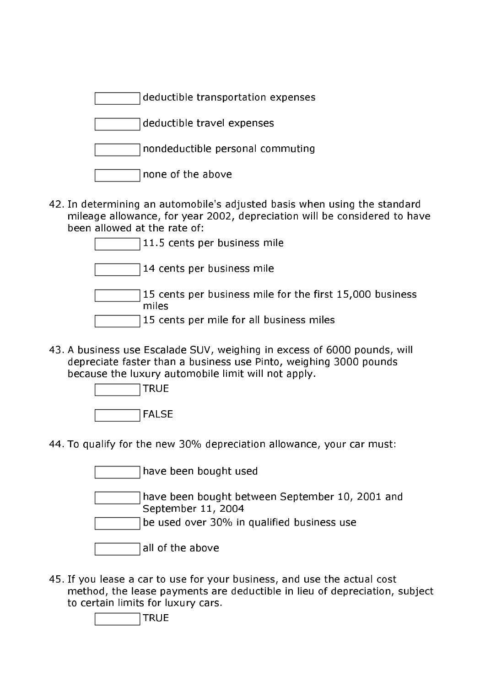deductible transportation expenses

deductible travel expenses

|  | nondeductible personal commuting |  |
|--|----------------------------------|--|
|--|----------------------------------|--|

42. In determining an automobile's adjusted basis when using the standard mileage allowance, for year 2002, depreciation will be considered to have been allowed at the rate of:

| 11.5 cents per business mile                                      |
|-------------------------------------------------------------------|
| 14 cents per business mile                                        |
| 15 cents per business mile for the first 15,000 business<br>miles |
| 15 cents per mile for all business miles                          |

43. A business use Escalade SUV, weighing in excess of 6000 pounds, will depreciate faster than a business use Pinto, weighing 3000 pounds because the luxury automobile limit will not apply.



44. To qualify for the new 30% depreciation allowance, your car must:

| have been bought used                           |
|-------------------------------------------------|
|                                                 |
| have been bought between September 10, 2001 and |
| September 11, 2004                              |
| be used over 30% in qualified business use      |
|                                                 |
| all of the above                                |

45. If you lease a car to use for your business, and use the actual cost method, the lease payments are deductible in lieu of depreciation, subject to certain limits for luxury cars.

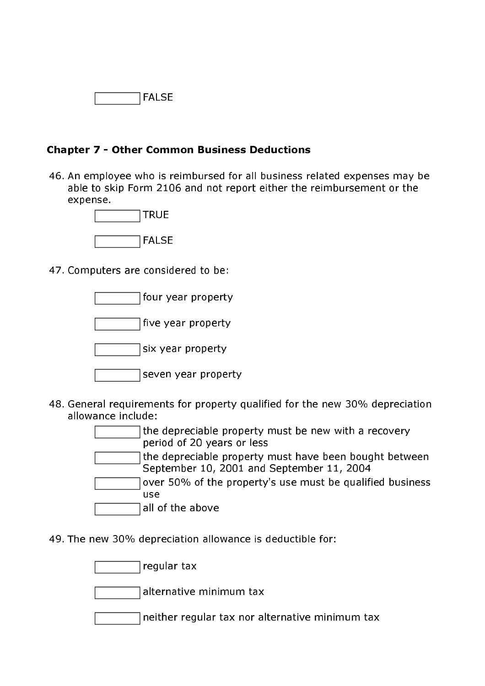

#### **Chapter 7 - Other Common Business Deductions**

46. An employee who is reimbursed for all business related expenses may be able to skip Form 2106 and not report either the reimbursement or the expense.



47. Computers are considered to be:

four year property

five year property

six year property

|  | seven year property |
|--|---------------------|
|  |                     |

48. General requirements for property qualified for the new 30% depreciation allowance include:

> the depreciable property must be new with a recovery period of 20 years or less the depreciable property must have been bought between September 10, 2001 and September 11, 2004 over 50% of the property's use must be qualified business use. all of the above

49. The new 30% depreciation allowance is deductible for:

regular tax

alternative minimum tax

neither regular tax nor alternative minimum tax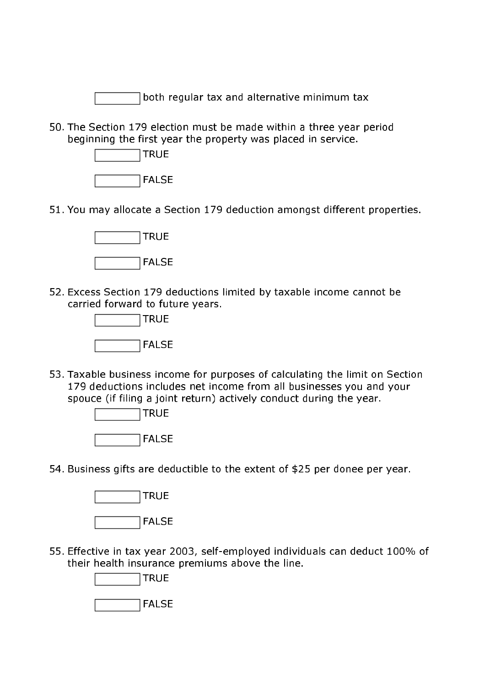both regular tax and alternative minimum tax

50. The Section 179 election must be made within a three year period beginning the first year the property was placed in service.



51. You may allocate a Section 179 deduction amongst different properties.



52. Excess Section 179 deductions limited by taxable income cannot be carried forward to future years.



53. Taxable business income for purposes of calculating the limit on Section 179 deductions includes net income from all businesses you and your spouce (if filing a joint return) actively conduct during the year.



54. Business gifts are deductible to the extent of \$25 per donee per year.



55. Effective in tax year 2003, self-employed individuals can deduct 100% of their health insurance premiums above the line.

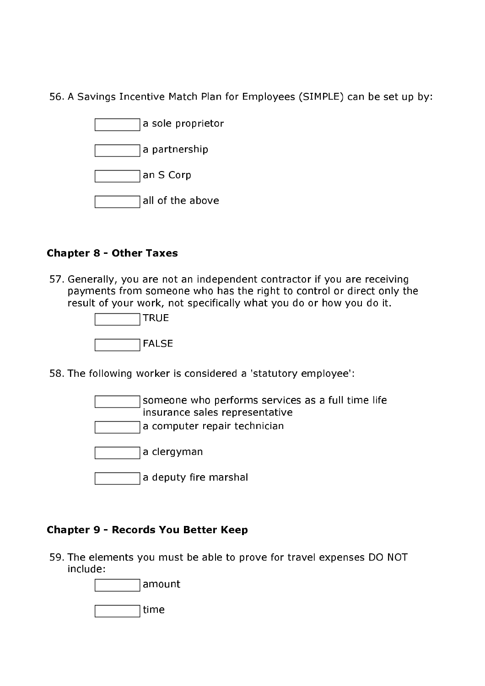56. A Savings Incentive Match Plan for Employees (SIMPLE) can be set up by:

| a sole proprietor |
|-------------------|
| a partnership     |
| ∣an S Corp        |
| all of the above  |

#### **Chapter 8 - Other Taxes**

57. Generally, you are not an independent contractor if you are receiving payments from someone who has the right to control or direct only the result of your work, not specifically what you do or how you do it.



58. The following worker is considered a 'statutory employee':

someone who performs services as a full time life insurance sales representative a computer repair technician a clergyman a deputy fire marshal

#### **Chapter 9 - Records You Better Keep**

59. The elements you must be able to prove for travel expenses DO NOT include: